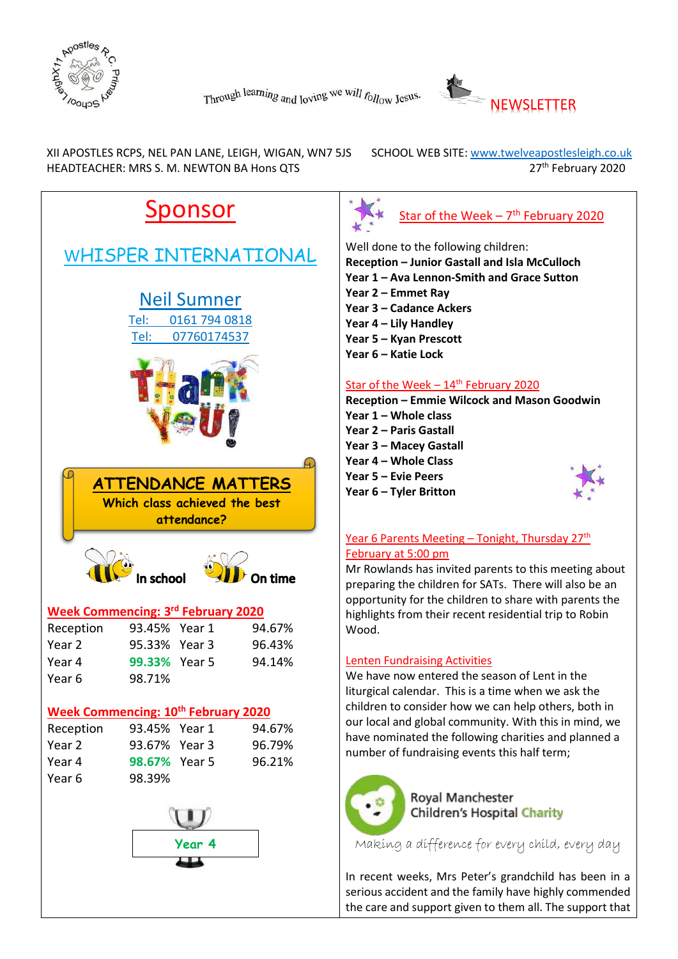



XII APOSTLES RCPS, NEL PAN LANE, LEIGH, WIGAN, WN7 5JS SCHOOL WEB SITE: www.twelveapostlesleigh.co.uk HEADTEACHER: MRS S. M. NEWTON BA Hons QTS **27th February 2020** 





Well done to the following children:

**Reception – Junior Gastall and Isla McCulloch**

- **Year 1 – Ava Lennon-Smith and Grace Sutton**
- **Year 2 – Emmet Ray**
- **Year 3 – Cadance Ackers**
- **Year 4 – Lily Handley**
- **Year 5 – Kyan Prescott**
- **Year 6 – Katie Lock**

# Star of the Week  $-14^{\text{th}}$  February 2020

**Reception – Emmie Wilcock and Mason Goodwin Year 1 – Whole class**

- **Year 2 – Paris Gastall**
- **Year 3 – Macey Gastall**
- **Year 4 – Whole Class**
- **Year 5 – Evie Peers**

**Year 6 – Tyler Britton**



# Year 6 Parents Meeting – Tonight, Thursday 27<sup>th</sup> February at 5:00 pm

Mr Rowlands has invited parents to this meeting about preparing the children for SATs. There will also be an opportunity for the children to share with parents the highlights from their recent residential trip to Robin Wood.

#### Lenten Fundraising Activities

We have now entered the season of Lent in the liturgical calendar. This is a time when we ask the children to consider how we can help others, both in our local and global community. With this in mind, we have nominated the following charities and planned a number of fundraising events this half term;



Royal Manchester **Children's Hospital Charity** 

Making a difference for every child, every day

In recent weeks, Mrs Peter's grandchild has been in a serious accident and the family have highly commended the care and support given to them all. The support that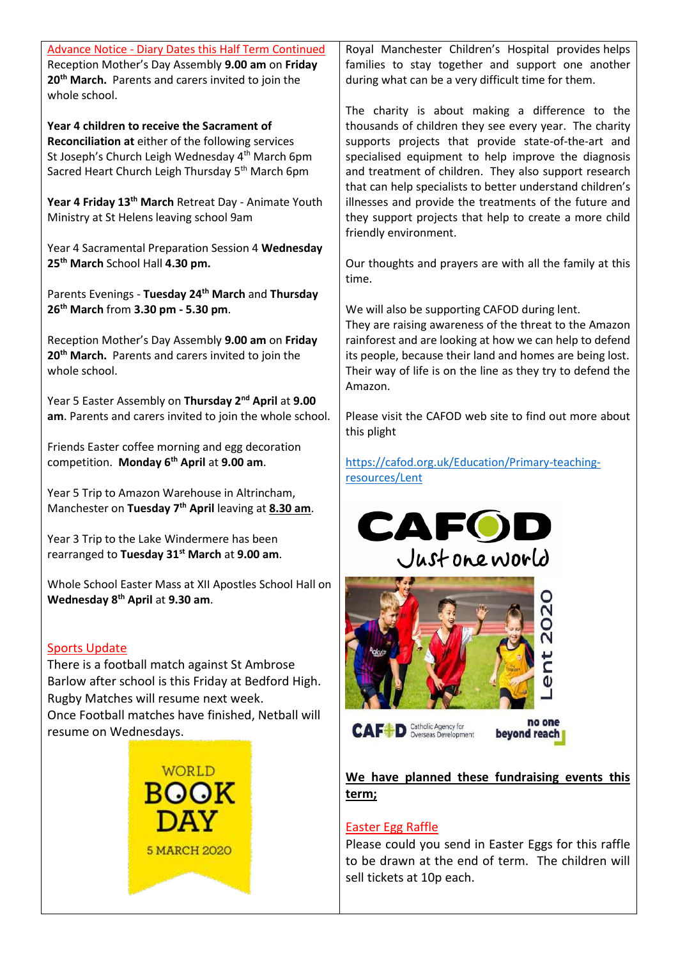| <b>Advance Notice - Diary Dates this Half Term Continued</b><br>Reception Mother's Day Assembly 9.00 am on Friday<br>20 <sup>th</sup> March. Parents and carers invited to join the<br>whole school.                                              |                     |  | Royal Manchester Children's Hospital provides helps<br>families to stay together and support one another<br>during what can be a very difficult time for them.                                                                                                                                                                                |
|---------------------------------------------------------------------------------------------------------------------------------------------------------------------------------------------------------------------------------------------------|---------------------|--|-----------------------------------------------------------------------------------------------------------------------------------------------------------------------------------------------------------------------------------------------------------------------------------------------------------------------------------------------|
| Year 4 children to receive the Sacrament of<br>Reconciliation at either of the following services<br>St Joseph's Church Leigh Wednesday 4 <sup>th</sup> March 6pm<br>Sacred Heart Church Leigh Thursday 5th March 6pm                             |                     |  | The charity is about making a difference to the<br>thousands of children they see every year. The charity<br>supports projects that provide state-of-the-art and<br>specialised equipment to help improve the diagnosis<br>and treatment of children. They also support research<br>that can help specialists to better understand children's |
| Year 4 Friday 13th March Retreat Day - Animate Youth<br>Ministry at St Helens leaving school 9am                                                                                                                                                  |                     |  | illnesses and provide the treatments of the future and<br>they support projects that help to create a more child<br>friendly environment.                                                                                                                                                                                                     |
| Year 4 Sacramental Preparation Session 4 Wednesday<br>25 <sup>th</sup> March School Hall 4.30 pm.                                                                                                                                                 |                     |  | Our thoughts and prayers are with all the family at this<br>time.                                                                                                                                                                                                                                                                             |
| Parents Evenings - Tuesday 24th March and Thursday<br>26 <sup>th</sup> March from 3.30 pm - 5.30 pm.                                                                                                                                              |                     |  | We will also be supporting CAFOD during lent.                                                                                                                                                                                                                                                                                                 |
| Reception Mother's Day Assembly 9.00 am on Friday<br>20 <sup>th</sup> March. Parents and carers invited to join the<br>whole school.                                                                                                              |                     |  | They are raising awareness of the threat to the Amazon<br>rainforest and are looking at how we can help to defend<br>its people, because their land and homes are being lost.<br>Their way of life is on the line as they try to defend the<br>Amazon.                                                                                        |
| Year 5 Easter Assembly on Thursday 2 <sup>nd</sup> April at 9.00<br>am. Parents and carers invited to join the whole school.                                                                                                                      |                     |  | Please visit the CAFOD web site to find out more about<br>this plight                                                                                                                                                                                                                                                                         |
| Friends Easter coffee morning and egg decoration<br>competition. Monday 6 <sup>th</sup> April at 9.00 am.                                                                                                                                         |                     |  | https://cafod.org.uk/Education/Primary-teaching-<br>resources/Lent                                                                                                                                                                                                                                                                            |
| Year 5 Trip to Amazon Warehouse in Altrincham,<br>Manchester on Tuesday 7 <sup>th</sup> April leaving at 8.30 am.                                                                                                                                 |                     |  | <b>CAFO</b>                                                                                                                                                                                                                                                                                                                                   |
| Year 3 Trip to the Lake Windermere has been<br>rearranged to Tuesday 31 <sup>st</sup> March at 9.00 am.                                                                                                                                           |                     |  | Justoneworld                                                                                                                                                                                                                                                                                                                                  |
| Whole School Easter Mass at XII Apostles School Hall on<br>Wednesday 8 <sup>th</sup> April at 9.30 am.                                                                                                                                            |                     |  | $\overline{O}$                                                                                                                                                                                                                                                                                                                                |
| <b>Sports Update</b><br>There is a football match against St Ambrose<br>Barlow after school is this Friday at Bedford High.<br>Rugby Matches will resume next week.<br>Once Football matches have finished, Netball will<br>resume on Wednesdays. |                     |  | no one<br>Catholic Agency for<br>Overseas Development<br><b>CAF D</b><br>beyond reach                                                                                                                                                                                                                                                         |
|                                                                                                                                                                                                                                                   | <b>WORLD</b>        |  | We have planned these fundraising events this                                                                                                                                                                                                                                                                                                 |
|                                                                                                                                                                                                                                                   | BOOK                |  | term;                                                                                                                                                                                                                                                                                                                                         |
|                                                                                                                                                                                                                                                   | DAY                 |  | <b>Easter Egg Raffle</b>                                                                                                                                                                                                                                                                                                                      |
|                                                                                                                                                                                                                                                   | <b>5 MARCH 2020</b> |  | Please could you send in Easter Eggs for this raffle<br>to be drawn at the end of term. The children will                                                                                                                                                                                                                                     |
|                                                                                                                                                                                                                                                   |                     |  | sell tickets at 10n each                                                                                                                                                                                                                                                                                                                      |

sell tickets at 10p each.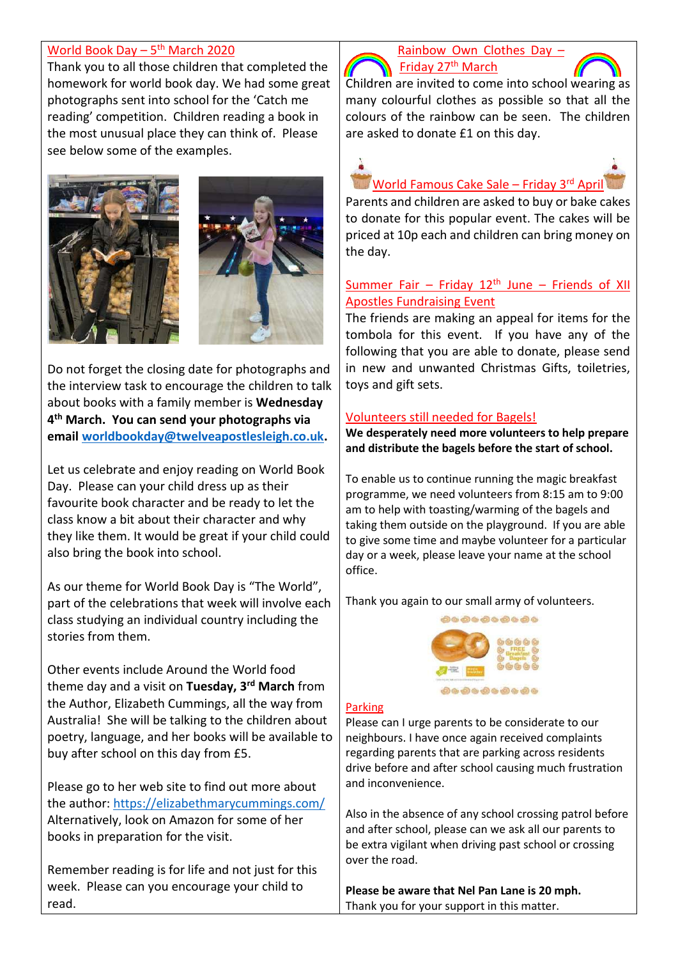# <u>World Book Day – 5<sup>th</sup> March 2020</u>

Thank you to all those children that completed the homework for world book day. We had some great photographs sent into school for the 'Catch me reading' competition. Children reading a book in the most unusual place they can think of. Please see below some of the examples.





Do not forget the closing date for photographs and the interview task to encourage the children to talk about books with a family member is **Wednesday 4 th March. You can send your photographs via email [worldbookday@twelveapostlesleigh.co.uk.](mailto:worldbookday@twelveapostlesleigh.co.uk)**

Let us celebrate and enjoy reading on World Book Day. Please can your child dress up as their favourite book character and be ready to let the class know a bit about their character and why they like them. It would be great if your child could also bring the book into school.

As our theme for World Book Day is "The World", part of the celebrations that week will involve each class studying an individual country including the stories from them.

Other events include Around the World food theme day and a visit on **Tuesday, 3rd March** from the Author, Elizabeth Cummings, all the way from Australia! She will be talking to the children about poetry, language, and her books will be available to buy after school on this day from £5.

Please go to her web site to find out more about the author:<https://elizabethmarycummings.com/> Alternatively, look on Amazon for some of her books in preparation for the visit.

Remember reading is for life and not just for this week. Please can you encourage your child to read.

### Rainbow Own Clothes Day – Friday 27<sup>th</sup> March

Children are invited to come into school wearing as many colourful clothes as possible so that all the colours of the rainbow can be seen. The children are asked to donate £1 on this day.

World Famous Cake Sale – Friday 3rd April

Parents and children are asked to buy or bake cakes to donate for this popular event. The cakes will be priced at 10p each and children can bring money on the day.

# Summer Fair – Friday  $12<sup>th</sup>$  June – Friends of XII Apostles Fundraising Event

The friends are making an appeal for items for the tombola for this event. If you have any of the following that you are able to donate, please send in new and unwanted Christmas Gifts, toiletries, toys and gift sets.

# Volunteers still needed for Bagels!

**We desperately need more volunteers to help prepare and distribute the bagels before the start of school.**

To enable us to continue running the magic breakfast programme, we need volunteers from 8:15 am to 9:00 am to help with toasting/warming of the bagels and taking them outside on the playground. If you are able to give some time and maybe volunteer for a particular day or a week, please leave your name at the school office.

Thank you agai[n to our small army of vo](https://www.google.co.uk/url?sa=i&rct=j&q=&esrc=s&source=images&cd=&ved=2ahUKEwjCqde109fkAhVOBWMBHTRWDYAQjRx6BAgBEAQ&url=https://www.christchurch-pellon.calderdale.sch.uk/parentscarers/breakfast-club/bagel-breakfast&psig=AOvVaw1N8gmpWBVx-tIj5ya6Rfbk&ust=1568802641537027)lunteers.



#### Parking

Please can I urge parents to be considerate to our neighbours. I have once again received complaints regarding parents that are parking across residents drive before and after school causing much frustration and inconvenience.

Also in the absence of any school crossing patrol before and after school, please can we ask all our parents to be extra vigilant when driving past school or crossing over the road.

**Please be aware that Nel Pan Lane is 20 mph.** Thank you for your support in this matter.